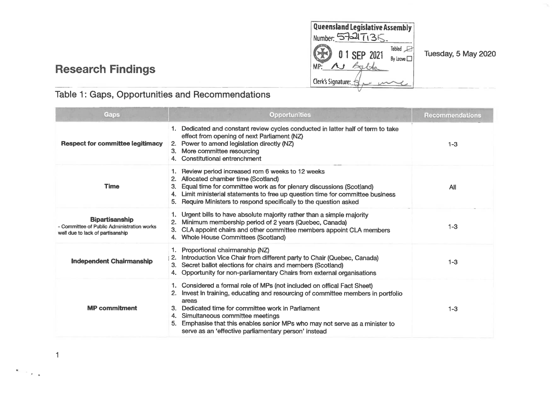**Queensland Legislative Assembly Number: ^59=^ I <sup>A</sup> <sup>4</sup> Tabled 0? <sup>0</sup> <sup>1</sup> SEP <sup>2021</sup>** MP: As Lable Clerk's Signature:

# **Research Findings**

## Table 1: Gaps, Opportunities and Recommendations

| Gaps                                                                                                    | <b>Opportunities</b>                                                                                                                                                                                                                                                                                                                                                                                   | Recommendations |
|---------------------------------------------------------------------------------------------------------|--------------------------------------------------------------------------------------------------------------------------------------------------------------------------------------------------------------------------------------------------------------------------------------------------------------------------------------------------------------------------------------------------------|-----------------|
| <b>Respect for committee legitimacy</b>                                                                 | Dedicated and constant review cycles conducted in latter half of term to take<br>effect from opening of next Parliament (NZ)<br>Power to amend legislation directly (NZ)<br>2.<br>More committee resourcing<br>3.<br>4. Constitutional entrenchment                                                                                                                                                    | $1 - 3$         |
| <b>Time</b>                                                                                             | Review period increased rom 6 weeks to 12 weeks<br>Allocated chamber time (Scotland)<br>Equal time for committee work as for plenary discussions (Scotland)<br>З.<br>Limit ministerial statements to free up question time for committee business<br>4.<br>Require Ministers to respond specifically to the question asked<br>5.                                                                       | All             |
| <b>Bipartisanship</b><br>- Committee of Public Administration works<br>well due to lack of partisanship | 1. Urgent bills to have absolute majority rather than a simple majority<br>Minimum membership period of 2 years (Quebec, Canada)<br>2.<br>CLA appoint chairs and other committee members appoint CLA members<br>3.<br><b>Whole House Committees (Scotland)</b>                                                                                                                                         | $1 - 3$         |
| <b>Independent Chairmanship</b>                                                                         | Proportional chairmanship (NZ)<br>Introduction Vice Chair from different party to Chair (Quebec, Canada)<br>Secret ballot elections for chairs and members (Scotland)<br>3.<br>Opportunity for non-parliamentary Chairs from external organisations                                                                                                                                                    | $1 - 3$         |
| <b>MP</b> commitment                                                                                    | Considered a formal role of MPs (not included on offical Fact Sheet)<br>Invest In training, educating and resourcing of committee members in portfolio<br>areas<br>Dedicated time for committee work in Parliament<br>Simultaneous committee meetings<br>4.<br>Emphasise that this enables senior MPs who may not serve as a minister to<br>5.<br>serve as an 'effective parliamentary person' instead | $1 - 3$         |

1

« **a**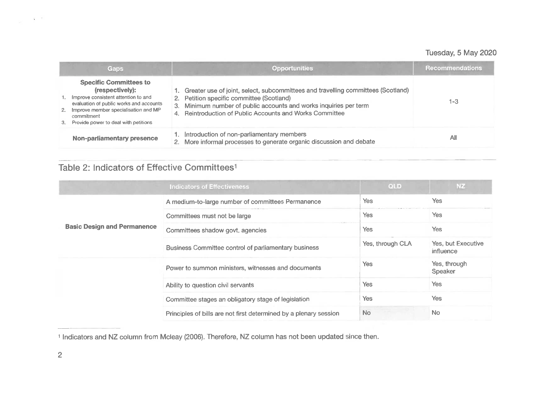|          | Gaps                                                                                                                                                                                                                                | <b>Opportunities</b>                                                                                                                                                                                                                                              | <b>Recommendations</b> |
|----------|-------------------------------------------------------------------------------------------------------------------------------------------------------------------------------------------------------------------------------------|-------------------------------------------------------------------------------------------------------------------------------------------------------------------------------------------------------------------------------------------------------------------|------------------------|
| 1.<br>3. | <b>Specific Committees to</b><br>(respectively):<br>Improve consistent attention to and<br>evaluation of public works and accounts<br>2. Improve member specialisation and MP<br>commitment<br>Provide power to deal with petitions | 1. Greater use of joint, select, subcommittees and travelling committees (Scotland)<br>2. Petition specific committee (Scotland)<br>3. Minimum number of public accounts and works inquiries per term<br>4. Reintroduction of Public Accounts and Works Committee | 1-3                    |
|          | <b>Non-parliamentary presence</b>                                                                                                                                                                                                   | 1. Introduction of non-parliamentary members<br>2. More informal processes to generate organic discussion and debate                                                                                                                                              | All                    |

## Table 2: Indicators of Effective Committees<sup>1</sup>

|                                    | <b>Indicators of Effectiveness</b>                                | <b>QLD</b>       | NZ.                             |
|------------------------------------|-------------------------------------------------------------------|------------------|---------------------------------|
|                                    | A medium-to-large number of committees Permanence                 | Yes              | Yes                             |
| <b>Basic Design and Permanence</b> | Committees must not be large                                      | Yes              | Yes                             |
|                                    | Committees shadow govt. agencies                                  | Yes              | Yes                             |
|                                    | Business Committee control of parliamentary business              | Yes, through CLA | Yes, but Executive<br>influence |
|                                    | Power to summon ministers, witnesses and documents                | Yes              | Yes, through<br>Speaker         |
|                                    | Ability to question civil servants                                | Yes              | Yes                             |
|                                    | Committee stages an obligatory stage of legislation               | Yes              | Yes                             |
|                                    | Principles of bills are not first determined by a plenary session | <b>No</b>        | N <sub>o</sub>                  |

<sup>1</sup> Indicators and NZ column from Mcleay (2006). Therefore, NZ column has not been updated since then.

 $\mathbf{x}=\tau$  .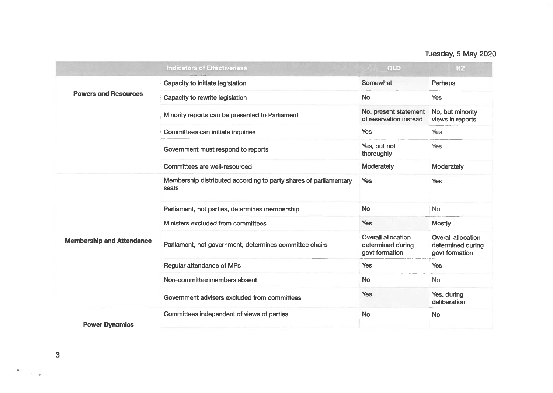|                                  | <b>Indicators of Effectiveness</b>                                         | QLD                                                              | NZ.                                                              |
|----------------------------------|----------------------------------------------------------------------------|------------------------------------------------------------------|------------------------------------------------------------------|
|                                  | Capacity to initiate legislation                                           | Somewhat                                                         | Perhaps                                                          |
| <b>Powers and Resources</b>      | Capacity to rewrite legislation                                            | <b>No</b>                                                        | Yes                                                              |
|                                  | Minority reports can be presented to Parliament                            | No, present statement<br>of reservation instead                  | No, but minority<br>views in reports                             |
|                                  | Committees can initiate inquiries                                          | <b>Yes</b>                                                       | Yes                                                              |
|                                  | <b>Government must respond to reports</b>                                  | Yes, but not<br>thoroughly                                       | Yes                                                              |
|                                  | Committees are well-resourced                                              | Moderately                                                       | Moderately                                                       |
|                                  | Membership distributed according to party shares of parliamentary<br>seats | <b>Yes</b>                                                       | <b>Yes</b>                                                       |
|                                  | Parliament, not parties, determines membership                             | <b>No</b>                                                        | <b>No</b>                                                        |
|                                  | Ministers excluded from committees                                         | Yes                                                              | <b>Mostly</b>                                                    |
| <b>Membership and Attendance</b> | Parliament, not government, determines committee chairs                    | <b>Overall allocation</b><br>determined during<br>govt formation | <b>Overall allocation</b><br>determined during<br>govt formation |
|                                  | <b>Regular attendance of MPs</b>                                           | <b>Yes</b>                                                       | Yes                                                              |
|                                  | Non-committee members absent                                               | <b>No</b>                                                        | <b>No</b>                                                        |
|                                  | Government advisers excluded from committees                               | <b>Yes</b>                                                       | Yes, during<br>deliberation                                      |
| <b>Power Dynamics</b>            | Committees independent of views of parties                                 | <b>No</b>                                                        | <b>No</b>                                                        |

 $\frac{1}{\sqrt{2}}\left( \frac{1}{\sqrt{2}}\right)$  ,  $\frac{1}{\sqrt{2}}\left( \frac{1}{\sqrt{2}}\right)$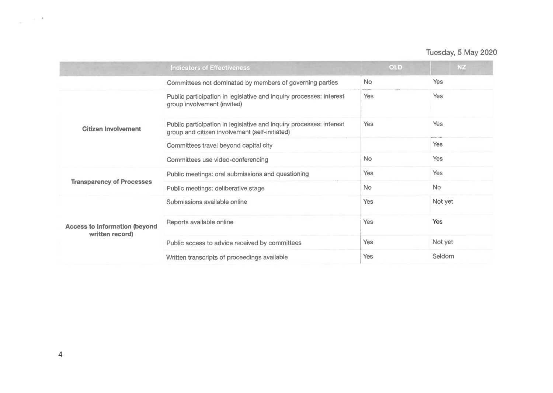|                                                         | <b>Indicators of Effectiveness</b>                                                                                    | <b>QLD</b> | <b>NZ</b>      |
|---------------------------------------------------------|-----------------------------------------------------------------------------------------------------------------------|------------|----------------|
|                                                         | Committees not dominated by members of governing parties                                                              | No.        | <b>Yes</b>     |
|                                                         | Public participation in legislative and inquiry processes: interest<br>group involvement (invited)                    | <b>Yes</b> | <b>Yes</b>     |
| <b>Citizen Involvement</b>                              | Public participation in legislative and inquiry processes: interest<br>group and citizen involvement (self-initiated) | <b>Yes</b> | <b>Yes</b>     |
|                                                         | Committees travel beyond capital city                                                                                 |            | <b>Yes</b>     |
|                                                         | Committees use video-conferencing                                                                                     | <b>No</b>  | <b>Yes</b>     |
|                                                         | Public meetings: oral submissions and questioning                                                                     | <b>Yes</b> | <b>Yes</b>     |
| <b>Transparency of Processes</b>                        | Public meetings: deliberative stage                                                                                   | <b>No</b>  | N <sub>o</sub> |
|                                                         | Submissions available online                                                                                          | Yes        | Not yet        |
| <b>Access to Information (beyond</b><br>written record) | Reports available online                                                                                              | <b>Yes</b> | <b>Yes</b>     |
|                                                         | Public access to advice received by committees                                                                        | Yes        | Not yet        |
|                                                         | Written transcripts of proceedings available                                                                          | Yes        | Seldom         |

 $\omega_{\rm{max}}=10^{-10}$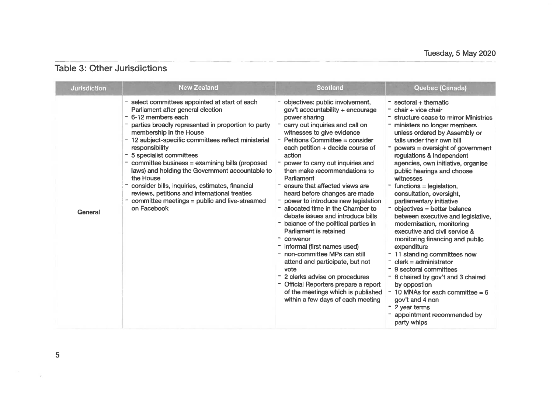### Table 3: Other Jurisdictions

| <b>Jurisdiction</b> | <b>New Zealand</b>                                                                                                                                                                                                                                                                                                                                                                                                                                                                                                                                                                       | <b>Scotland</b>                                                                                                                                                                                                                                                                                                                                                                                                                                                                                                                                                                                                                                                                                                                                                                                                                                                        | Quebec (Canada)                                                                                                                                                                                                                                                                                                                                                                                                                                                                                                                                                                                                                                                                                                                                                                                                                                                                                                |
|---------------------|------------------------------------------------------------------------------------------------------------------------------------------------------------------------------------------------------------------------------------------------------------------------------------------------------------------------------------------------------------------------------------------------------------------------------------------------------------------------------------------------------------------------------------------------------------------------------------------|------------------------------------------------------------------------------------------------------------------------------------------------------------------------------------------------------------------------------------------------------------------------------------------------------------------------------------------------------------------------------------------------------------------------------------------------------------------------------------------------------------------------------------------------------------------------------------------------------------------------------------------------------------------------------------------------------------------------------------------------------------------------------------------------------------------------------------------------------------------------|----------------------------------------------------------------------------------------------------------------------------------------------------------------------------------------------------------------------------------------------------------------------------------------------------------------------------------------------------------------------------------------------------------------------------------------------------------------------------------------------------------------------------------------------------------------------------------------------------------------------------------------------------------------------------------------------------------------------------------------------------------------------------------------------------------------------------------------------------------------------------------------------------------------|
| General             | select committees appointed at start of each<br>Parliament after general election<br>- 6-12 members each<br>parties broadly represented in proportion to party<br>membership in the House<br>12 subject-specific committees reflect ministerial<br>responsibility<br>- 5 specialist committees<br>- committee business = examining bills (proposed<br>laws) and holding the Government accountable to<br>the House<br>- consider bills, inquiries, estimates, financial<br>reviews, petitions and international treaties<br>committee meetings = public and live-streamed<br>on Facebook | objectives: public involvement,<br>gov't accountability + encourage<br>power sharing<br>carry out inquiries and call on<br>witnesses to give evidence<br>- Petitions Committee = consider<br>each petition + decide course of<br>action<br>- power to carry out inquiries and<br>then make recommendations to<br>Parliament<br>ensure that affected views are<br>heard before changes are made<br>- power to introduce new legislation<br>- allocated time in the Chamber to<br>debate issues and introduce bills<br>- balance of the political parties in<br>Parliament is retained<br>- convenor<br>- informal (first names used)<br>- non-committee MPs can still<br>attend and participate, but not<br>vote<br>- 2 clerks advise on procedures<br>- Official Reporters prepare a report<br>of the meetings which is published<br>within a few days of each meeting | $=$ sectoral + thematic<br>$-$ chair + vice chair<br>structure cease to mirror Ministries<br>ministers no longer members<br>unless ordered by Assembly or<br>falls under their own bill<br>powers = oversight of government<br>regulations & independent<br>agencies, own initiative, organise<br>public hearings and choose<br>witnesses<br>$function =$ legislation,<br>consultation, oversight,<br>parliamentary initiative<br>- objectives = better balance<br>between executive and legislative,<br>modernisation, monitoring<br>executive and civil service &<br>monitoring financing and public<br>expenditure<br>- 11 standing committees now<br>$\overline{\phantom{a}}$ clerk = administrator<br>- 9 sectoral committees<br>- 6 chaired by gov't and 3 chaired<br>by oppostion<br>10 MNAs for each committee $= 6$<br>gov't and 4 non<br>- 2 year terms<br>appointment recommended by<br>party whips |

 $\Gamma$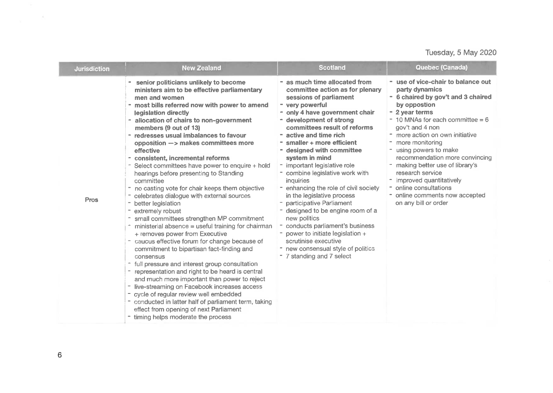| <b>Jurisdiction</b> | <b>New Zealand</b>                                                                                                                                                                                                                                                                                                                                                                                                                                                                                                                                                                                                                                                                                                                                                                                                                                                                                                                                                                                                                                                                                                                                                                                                                                                            | <b>Scotland</b>                                                                                                                                                                                                                                                                                                                                                                                                                                                                                                                                                                                                                                                                                                   | Quebec (Canada)                                                                                                                                                                                                                                                                                                                                                                                                                                                                   |
|---------------------|-------------------------------------------------------------------------------------------------------------------------------------------------------------------------------------------------------------------------------------------------------------------------------------------------------------------------------------------------------------------------------------------------------------------------------------------------------------------------------------------------------------------------------------------------------------------------------------------------------------------------------------------------------------------------------------------------------------------------------------------------------------------------------------------------------------------------------------------------------------------------------------------------------------------------------------------------------------------------------------------------------------------------------------------------------------------------------------------------------------------------------------------------------------------------------------------------------------------------------------------------------------------------------|-------------------------------------------------------------------------------------------------------------------------------------------------------------------------------------------------------------------------------------------------------------------------------------------------------------------------------------------------------------------------------------------------------------------------------------------------------------------------------------------------------------------------------------------------------------------------------------------------------------------------------------------------------------------------------------------------------------------|-----------------------------------------------------------------------------------------------------------------------------------------------------------------------------------------------------------------------------------------------------------------------------------------------------------------------------------------------------------------------------------------------------------------------------------------------------------------------------------|
| <b>Pros</b>         | senior politicians unlikely to become<br>ministers aim to be effective parliamentary<br>men and women<br>- most bills referred now with power to amend<br>legislation directly<br>- allocation of chairs to non-government<br>members (9 out of 13)<br>redresses usual imbalances to favour<br>opposition -> makes committees more<br>effective<br>- consistent, incremental reforms<br>- Select committees have power to enquire + hold<br>hearings before presenting to Standing<br>committee<br>no casting vote for chair keeps them objective<br>celebrates dialogue with external sources<br>better legislation<br>extremely robust<br>small committees strengthen MP commitment<br>ministerial absence = useful training for chairman<br>+ removes power from Executive<br>caucus effective forum for change because of<br>commitment to bipartisan fact-finding and<br>consensus<br>- full pressure and interest group consultation<br>representation and right to be heard is central<br>and much more important than power to reject<br>live-streaming on Facebook increases access<br>cycle of regular review well embedded<br>- conducted in latter half of parliament term, taking<br>effect from opening of next Parliament<br>timing helps moderate the process | - as much time allocated from<br>committee action as for plenary<br>sessions of parliament<br>- very powerful<br>- only 4 have government chair<br>- development of strong<br>committees result of reforms<br>active and time rich<br>smaller + more efficient<br>- designed with committee<br>system in mind<br>- important legislative role<br>- combine legislative work with<br>inquiries<br>enhancing the role of civil society<br>in the legislative process<br>participative Parliament<br>designed to be engine room of a<br>new politics<br>conducts parliament's business<br>power to initiate legislation +<br>scrutinise executive<br>- new consensual style of politics<br>- 7 standing and 7 select | - use of vice-chair to balance out<br>party dynamics<br>- 6 chaired by gov't and 3 chaired<br>by oppostion<br>- 2 year terms<br>$-10$ MNAs for each committee = 6<br>gov't and 4 non<br>- more action on own initiative<br>- more monitoring<br>- using powers to make<br>recommendation more convincing<br>- making better use of library's<br>research service<br>- improved quantitatively<br>- online consultations<br>- online comments now accepted<br>on any bill or order |

 $\tilde{K}$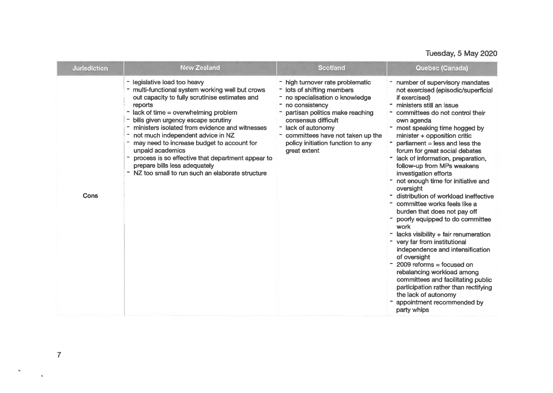| <b>Jurisdiction</b> | <b>New Zealand</b>                                                                                                                                                                                                                                                                                                                                                                                                                                                                                                              | <b>Scotland</b>                                                                                                                                                                                                                                                                            | Quebec (Canada)                                                                                                                                                                                                                                                                                                                                                                                                                                                                                                                                                                                                                                                                                                                                                                                                                                                                                                                                                      |
|---------------------|---------------------------------------------------------------------------------------------------------------------------------------------------------------------------------------------------------------------------------------------------------------------------------------------------------------------------------------------------------------------------------------------------------------------------------------------------------------------------------------------------------------------------------|--------------------------------------------------------------------------------------------------------------------------------------------------------------------------------------------------------------------------------------------------------------------------------------------|----------------------------------------------------------------------------------------------------------------------------------------------------------------------------------------------------------------------------------------------------------------------------------------------------------------------------------------------------------------------------------------------------------------------------------------------------------------------------------------------------------------------------------------------------------------------------------------------------------------------------------------------------------------------------------------------------------------------------------------------------------------------------------------------------------------------------------------------------------------------------------------------------------------------------------------------------------------------|
| Cons                | - legislative load too heavy<br>multi-functional system working well but crows<br>out capacity to fully scrutinise estimates and<br>reports<br>- lack of time = overwhelming problem<br>bills given urgency escape scrutiny<br>ministers isolated from evidence and witnesses<br>not much independent advice in NZ<br>may need to increase budget to account for<br>unpaid academics<br>process is so effective that department appear to<br>prepare bills less adequately<br>- NZ too small to run such an elaborate structure | - high turnover rate problematic<br>- lots of shifting members<br>- no specialisation o knowledge<br>no consistency<br>partisan politics make reaching<br>consensus difficult<br>lack of autonomy<br>committees have not taken up the<br>policy initiation function to any<br>great extent | - number of supervisory mandates<br>not exercised (episodic/superficial<br>if exercised)<br>" ministers still an issue<br>committees do not control their<br>own agenda<br>- most speaking time hogged by<br>minister + opposition critic<br>$parti$ and less the<br>forum for great social debates<br>lack of information, preparation,<br>$\blacksquare$<br>follow-up from MPs weakens<br>investigation efforts<br>not enough time for initiative and<br>oversight<br>distribution of workload ineffective<br>committee works feels like a<br>burden that does not pay off<br>poorly equipped to do committee<br>work<br>lacks visibility + fair renumeration<br>- very far from institutional<br>independence and intensification<br>of oversight<br>$2009$ reforms = focused on<br>rebalancing workload among<br>committees and facilitating public<br>participation rather than rectifying<br>the lack of autonomy<br>appointment recommended by<br>party whips |

 $\bar{\star}$ 

**>**